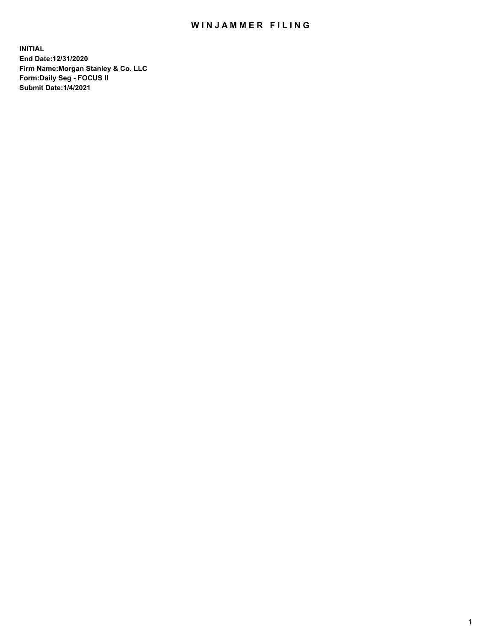## WIN JAMMER FILING

**INITIAL End Date:12/31/2020 Firm Name:Morgan Stanley & Co. LLC Form:Daily Seg - FOCUS II Submit Date:1/4/2021**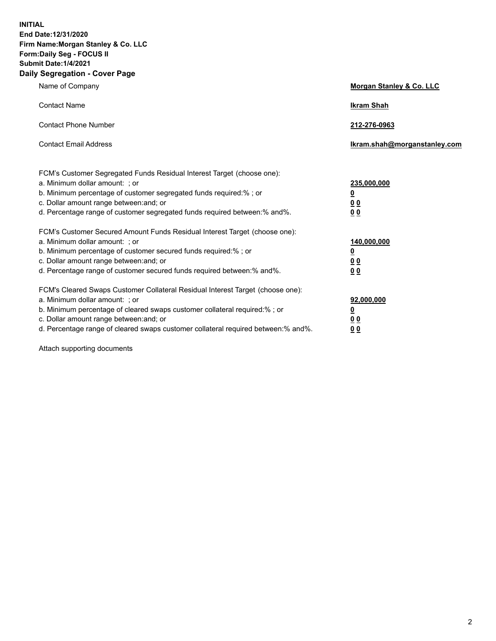**INITIAL End Date:12/31/2020 Firm Name:Morgan Stanley & Co. LLC Form:Daily Seg - FOCUS II Submit Date:1/4/2021 Daily Segregation - Cover Page**

| Name of Company                                                                                                                                                                                                                                                                                                                | <b>Morgan Stanley &amp; Co. LLC</b>                    |
|--------------------------------------------------------------------------------------------------------------------------------------------------------------------------------------------------------------------------------------------------------------------------------------------------------------------------------|--------------------------------------------------------|
| <b>Contact Name</b>                                                                                                                                                                                                                                                                                                            | <b>Ikram Shah</b>                                      |
| <b>Contact Phone Number</b>                                                                                                                                                                                                                                                                                                    | 212-276-0963                                           |
| <b>Contact Email Address</b>                                                                                                                                                                                                                                                                                                   | Ikram.shah@morganstanley.com                           |
| FCM's Customer Segregated Funds Residual Interest Target (choose one):<br>a. Minimum dollar amount: ; or<br>b. Minimum percentage of customer segregated funds required:% ; or<br>c. Dollar amount range between: and; or<br>d. Percentage range of customer segregated funds required between:% and%.                         | 235,000,000<br><u>0</u><br>0 Q<br>0 Q                  |
| FCM's Customer Secured Amount Funds Residual Interest Target (choose one):<br>a. Minimum dollar amount: ; or<br>b. Minimum percentage of customer secured funds required:% ; or<br>c. Dollar amount range between: and; or<br>d. Percentage range of customer secured funds required between: % and %.                         | 140,000,000<br><u>0</u><br><u>00</u><br>0 <sub>0</sub> |
| FCM's Cleared Swaps Customer Collateral Residual Interest Target (choose one):<br>a. Minimum dollar amount: ; or<br>b. Minimum percentage of cleared swaps customer collateral required:% ; or<br>c. Dollar amount range between: and; or<br>d. Percentage range of cleared swaps customer collateral required between:% and%. | 92,000,000<br><u>0</u><br>0 Q<br>00                    |

Attach supporting documents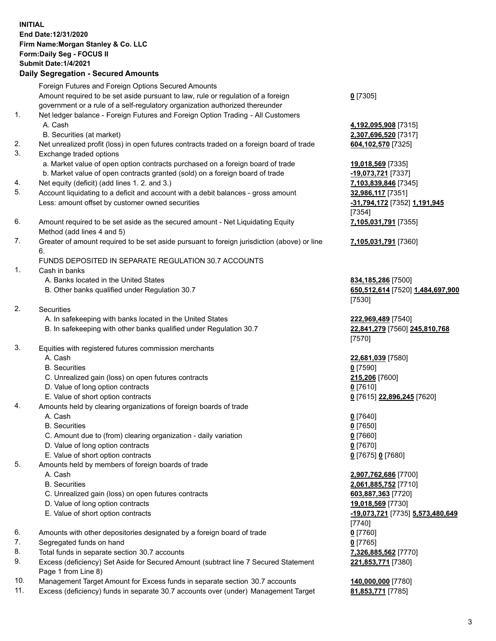|    | <b>INITIAL</b><br>End Date: 12/31/2020<br>Firm Name: Morgan Stanley & Co. LLC<br>Form: Daily Seg - FOCUS II<br><b>Submit Date: 1/4/2021</b><br><b>Daily Segregation - Secured Amounts</b> |                                              |
|----|-------------------------------------------------------------------------------------------------------------------------------------------------------------------------------------------|----------------------------------------------|
|    | Foreign Futures and Foreign Options Secured Amounts                                                                                                                                       |                                              |
|    | Amount required to be set aside pursuant to law, rule or regulation of a foreign                                                                                                          | $0$ [7305]                                   |
|    | government or a rule of a self-regulatory organization authorized thereunder                                                                                                              |                                              |
| 1. | Net ledger balance - Foreign Futures and Foreign Option Trading - All Customers                                                                                                           |                                              |
|    | A. Cash                                                                                                                                                                                   | 4,192,095,908 [7315]                         |
|    | B. Securities (at market)                                                                                                                                                                 | 2,307,696,520 [7317]                         |
| 2. | Net unrealized profit (loss) in open futures contracts traded on a foreign board of trade                                                                                                 | 604,102,570 [7325]                           |
| 3. | Exchange traded options                                                                                                                                                                   |                                              |
|    | a. Market value of open option contracts purchased on a foreign board of trade                                                                                                            | 19,018,569 [7335]                            |
| 4. | b. Market value of open contracts granted (sold) on a foreign board of trade<br>Net equity (deficit) (add lines 1. 2. and 3.)                                                             | -19,073,721 [7337]<br>7,103,839,846 [7345]   |
| 5. | Account liquidating to a deficit and account with a debit balances - gross amount                                                                                                         | 32,986,117 [7351]                            |
|    | Less: amount offset by customer owned securities                                                                                                                                          | -31,794,172 [7352] 1,191,945                 |
|    |                                                                                                                                                                                           | [7354]                                       |
| 6. | Amount required to be set aside as the secured amount - Net Liquidating Equity                                                                                                            | 7,105,031,791 [7355]                         |
|    | Method (add lines 4 and 5)                                                                                                                                                                |                                              |
| 7. | Greater of amount required to be set aside pursuant to foreign jurisdiction (above) or line<br>6.                                                                                         | 7,105,031,791 [7360]                         |
|    | FUNDS DEPOSITED IN SEPARATE REGULATION 30.7 ACCOUNTS                                                                                                                                      |                                              |
| 1. | Cash in banks                                                                                                                                                                             |                                              |
|    | A. Banks located in the United States                                                                                                                                                     | 834,185,286 [7500]                           |
|    | B. Other banks qualified under Regulation 30.7                                                                                                                                            | 650,512,614 [7520] 1,484,697,900             |
|    |                                                                                                                                                                                           | [7530]                                       |
| 2. | Securities                                                                                                                                                                                |                                              |
|    | A. In safekeeping with banks located in the United States                                                                                                                                 | 222,969,489 [7540]                           |
|    | B. In safekeeping with other banks qualified under Regulation 30.7                                                                                                                        | 22,841,279 [7560] 245,810,768<br>[7570]      |
| 3. | Equities with registered futures commission merchants                                                                                                                                     |                                              |
|    | A. Cash                                                                                                                                                                                   | 22,681,039 [7580]                            |
|    | <b>B.</b> Securities                                                                                                                                                                      | $0$ [7590]                                   |
|    | C. Unrealized gain (loss) on open futures contracts                                                                                                                                       | 215,206 [7600]                               |
|    | D. Value of long option contracts                                                                                                                                                         | $0$ [7610]                                   |
|    | E. Value of short option contracts                                                                                                                                                        | 0 [7615] 22,896,245 [7620]                   |
| 4. | Amounts held by clearing organizations of foreign boards of trade                                                                                                                         |                                              |
|    | A. Cash<br><b>B.</b> Securities                                                                                                                                                           | $0$ [7640]<br>$0$ [7650]                     |
|    | C. Amount due to (from) clearing organization - daily variation                                                                                                                           | $0$ [7660]                                   |
|    | D. Value of long option contracts                                                                                                                                                         | $0$ [7670]                                   |
|    | E. Value of short option contracts                                                                                                                                                        | 0 [7675] 0 [7680]                            |
| 5. | Amounts held by members of foreign boards of trade                                                                                                                                        |                                              |
|    | A. Cash                                                                                                                                                                                   | 2,907,762,686 [7700]                         |
|    | <b>B.</b> Securities                                                                                                                                                                      | 2,061,885,752 [7710]                         |
|    | C. Unrealized gain (loss) on open futures contracts                                                                                                                                       | 603,887,363 [7720]                           |
|    | D. Value of long option contracts                                                                                                                                                         | 19,018,569 [7730]                            |
|    | E. Value of short option contracts                                                                                                                                                        | -19,073,721 [7735] 5,573,480,649<br>$[7740]$ |
| 6. | Amounts with other depositories designated by a foreign board of trade                                                                                                                    | $0$ [7760]                                   |
| 7. | Segregated funds on hand                                                                                                                                                                  | $0$ [7765]                                   |
| 8. | Total funds in separate section 30.7 accounts                                                                                                                                             | 7,326,885,562 [7770]                         |
| 9. | Excess (deficiency) Set Aside for Secured Amount (subtract line 7 Secured Statement                                                                                                       | 221,853,771 [7380]                           |

Page 1 from Line 8)

- 10. Management Target Amount for Excess funds in separate section 30.7 accounts **140,000,000** [7780]
- 11. Excess (deficiency) funds in separate 30.7 accounts over (under) Management Target **81,853,771** [7785]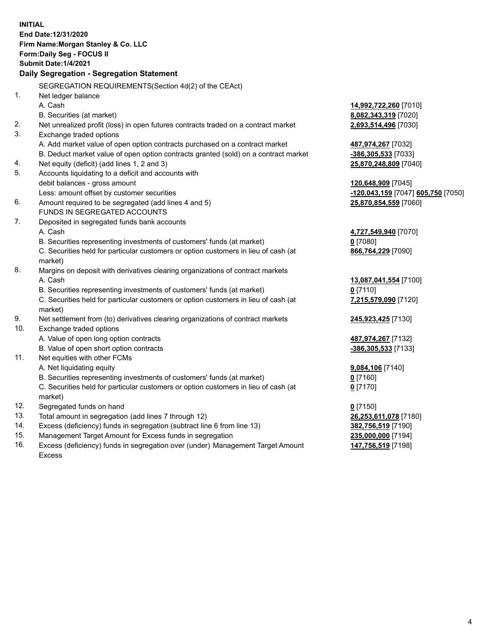|     | <b>INITIAL</b>                                                                      |                                    |
|-----|-------------------------------------------------------------------------------------|------------------------------------|
|     | End Date: 12/31/2020                                                                |                                    |
|     | Firm Name: Morgan Stanley & Co. LLC                                                 |                                    |
|     | Form: Daily Seg - FOCUS II                                                          |                                    |
|     | <b>Submit Date: 1/4/2021</b>                                                        |                                    |
|     | Daily Segregation - Segregation Statement                                           |                                    |
|     | SEGREGATION REQUIREMENTS(Section 4d(2) of the CEAct)                                |                                    |
| 1.  | Net ledger balance                                                                  |                                    |
|     | A. Cash                                                                             | 14,992,722,260 [7010]              |
|     | B. Securities (at market)                                                           | 8,082,343,319 [7020]               |
| 2.  | Net unrealized profit (loss) in open futures contracts traded on a contract market  | 2,693,514,496 [7030]               |
| 3.  | Exchange traded options                                                             |                                    |
|     | A. Add market value of open option contracts purchased on a contract market         | 487,974,267 [7032]                 |
|     | B. Deduct market value of open option contracts granted (sold) on a contract market | -386,305,533 [7033]                |
| 4.  | Net equity (deficit) (add lines 1, 2 and 3)                                         | 25,870,248,809 [7040]              |
| 5.  | Accounts liquidating to a deficit and accounts with                                 |                                    |
|     | debit balances - gross amount                                                       | 120,648,909 [7045]                 |
|     | Less: amount offset by customer securities                                          | -120,043,159 [7047] 605,750 [7050] |
| 6.  | Amount required to be segregated (add lines 4 and 5)                                | 25,870,854,559 [7060]              |
|     | FUNDS IN SEGREGATED ACCOUNTS                                                        |                                    |
| 7.  | Deposited in segregated funds bank accounts                                         |                                    |
|     | A. Cash                                                                             | 4,727,549,940 [7070]               |
|     | B. Securities representing investments of customers' funds (at market)              | $0$ [7080]                         |
|     | C. Securities held for particular customers or option customers in lieu of cash (at | 866,764,229 [7090]                 |
|     | market)                                                                             |                                    |
| 8.  | Margins on deposit with derivatives clearing organizations of contract markets      |                                    |
|     | A. Cash                                                                             | 13,087,041,554 [7100]              |
|     | B. Securities representing investments of customers' funds (at market)              | $0$ [7110]                         |
|     | C. Securities held for particular customers or option customers in lieu of cash (at | 7,215,579,090 [7120]               |
|     | market)                                                                             |                                    |
| 9.  | Net settlement from (to) derivatives clearing organizations of contract markets     | 245,923,425 [7130]                 |
| 10. | Exchange traded options                                                             |                                    |
|     | A. Value of open long option contracts                                              | 487,974,267 [7132]                 |
|     | B. Value of open short option contracts                                             | -386,305,533 [7133]                |
| 11. | Net equities with other FCMs                                                        |                                    |
|     | A. Net liquidating equity                                                           | 9,084,106 [7140]                   |
|     | B. Securities representing investments of customers' funds (at market)              | $0$ [7160]                         |
|     | C. Securities held for particular customers or option customers in lieu of cash (at | $0$ [7170]                         |
|     | market)                                                                             |                                    |
| 12. | Segregated funds on hand                                                            | $0$ [7150]                         |
| 13. | Total amount in segregation (add lines 7 through 12)                                | 26,253,611,078 [7180]              |
| 14. | Excess (deficiency) funds in segregation (subtract line 6 from line 13)             | 382,756,519 [7190]                 |
| 15. | Management Target Amount for Excess funds in segregation                            | 235,000,000 [7194]                 |
| 16. | Excess (deficiency) funds in segregation over (under) Management Target Amount      | 147,756,519 [7198]                 |

16. Excess (deficiency) funds in segregation over (under) Management Target Amount Excess